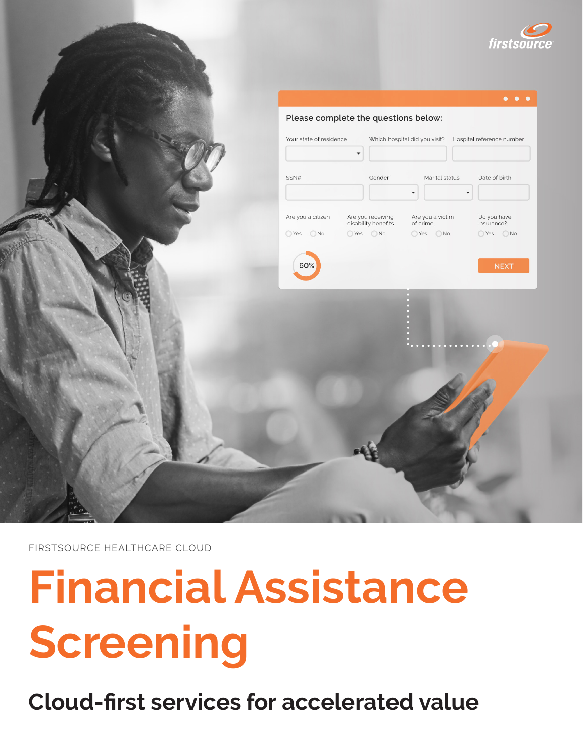



FIRSTSOURCE HEALTHCARE CLOUD

# **Financial Assistance Screening**

**Cloud-first services for accelerated value**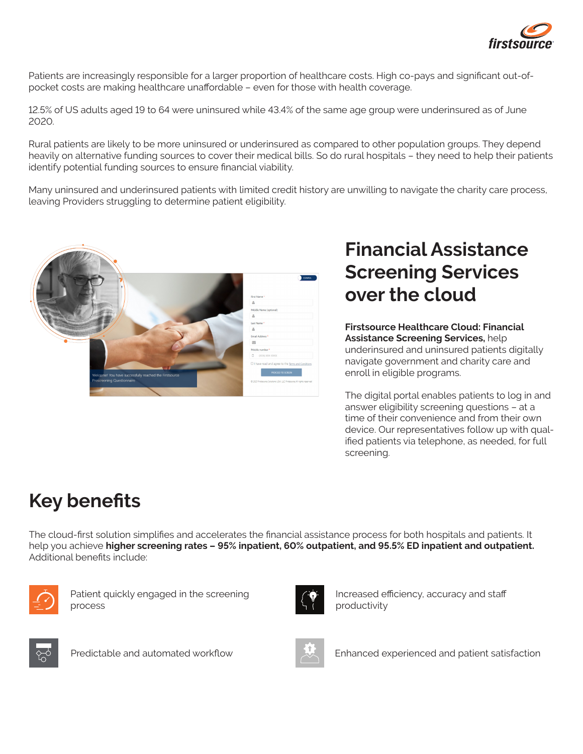

Patients are increasingly responsible for a larger proportion of healthcare costs. High co-pays and significant out-ofpocket costs are making healthcare unaffordable – even for those with health coverage.

12.5% of US adults aged 19 to 64 were uninsured while 43.4% of the same age group were underinsured as of June 2020.

Rural patients are likely to be more uninsured or underinsured as compared to other population groups. They depend heavily on alternative funding sources to cover their medical bills. So do rural hospitals – they need to help their patients identify potential funding sources to ensure financial viability.

Many uninsured and underinsured patients with limited credit history are unwilling to navigate the charity care process, leaving Providers struggling to determine patient eligibility.



# **Financial Assistance Screening Services over the cloud**

**Firstsource Healthcare Cloud: Financial Assistance Screening Services,** help underinsured and uninsured patients digitally navigate government and charity care and enroll in eligible programs.

The digital portal enables patients to log in and answer eligibility screening questions – at a time of their convenience and from their own device. Our representatives follow up with qualified patients via telephone, as needed, for full screening.

# **Key benefits**

The cloud-first solution simplifies and accelerates the financial assistance process for both hospitals and patients. It help you achieve **higher screening rates – 95% inpatient, 60% outpatient, and 95.5% ED inpatient and outpatient.** Additional benefits include:



Patient quickly engaged in the screening process



Increased efficiency, accuracy and staff productivity





Predictable and automated workflow Enhanced experienced and patient satisfaction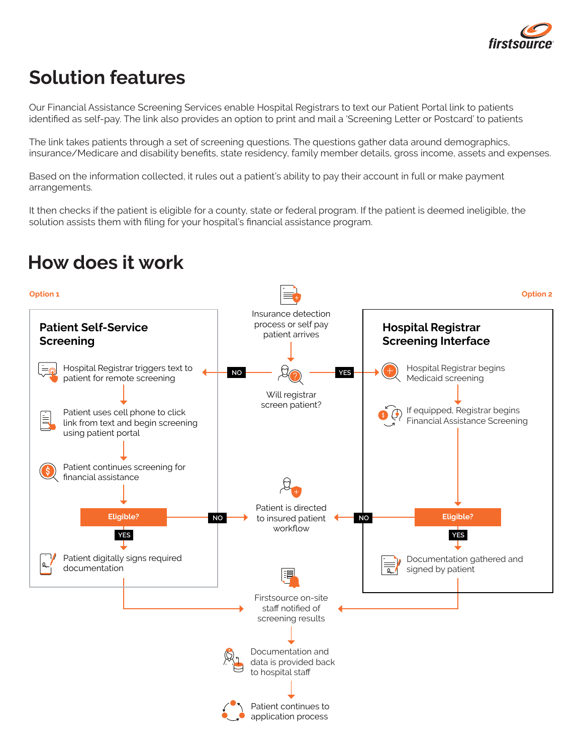

## **Solution features**

Our Financial Assistance Screening Services enable Hospital Registrars to text our Patient Portal link to patients identified as self-pay. The link also provides an option to print and mail a 'Screening Letter or Postcard' to patients

The link takes patients through a set of screening questions. The questions gather data around demographics, insurance/Medicare and disability benefits, state residency, family member details, gross income, assets and expenses.

Based on the information collected, it rules out a patient's ability to pay their account in full or make payment arrangements.

It then checks if the patient is eligible for a county, state or federal program. If the patient is deemed ineligible, the solution assists them with filing for your hospital's financial assistance program.

#### **How does it work**